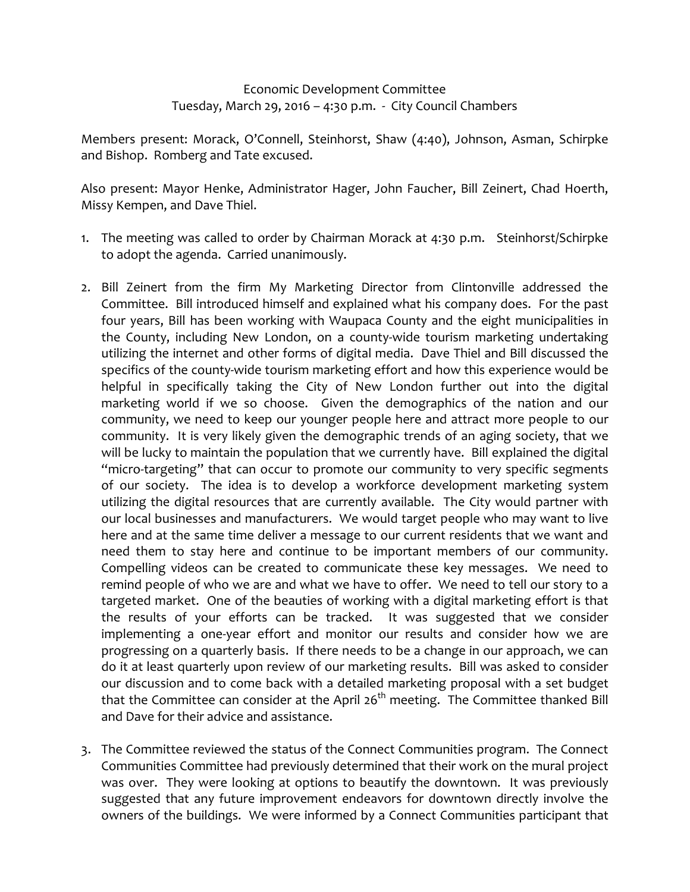## Economic Development Committee Tuesday, March 29, 2016 – 4:30 p.m. - City Council Chambers

Members present: Morack, O'Connell, Steinhorst, Shaw (4:40), Johnson, Asman, Schirpke and Bishop. Romberg and Tate excused.

Also present: Mayor Henke, Administrator Hager, John Faucher, Bill Zeinert, Chad Hoerth, Missy Kempen, and Dave Thiel.

- 1. The meeting was called to order by Chairman Morack at 4:30 p.m. Steinhorst/Schirpke to adopt the agenda. Carried unanimously.
- 2. Bill Zeinert from the firm My Marketing Director from Clintonville addressed the Committee. Bill introduced himself and explained what his company does. For the past four years, Bill has been working with Waupaca County and the eight municipalities in the County, including New London, on a county-wide tourism marketing undertaking utilizing the internet and other forms of digital media. Dave Thiel and Bill discussed the specifics of the county-wide tourism marketing effort and how this experience would be helpful in specifically taking the City of New London further out into the digital marketing world if we so choose. Given the demographics of the nation and our community, we need to keep our younger people here and attract more people to our community. It is very likely given the demographic trends of an aging society, that we will be lucky to maintain the population that we currently have. Bill explained the digital "micro-targeting" that can occur to promote our community to very specific segments of our society. The idea is to develop a workforce development marketing system utilizing the digital resources that are currently available. The City would partner with our local businesses and manufacturers. We would target people who may want to live here and at the same time deliver a message to our current residents that we want and need them to stay here and continue to be important members of our community. Compelling videos can be created to communicate these key messages. We need to remind people of who we are and what we have to offer. We need to tell our story to a targeted market. One of the beauties of working with a digital marketing effort is that the results of your efforts can be tracked. It was suggested that we consider implementing a one-year effort and monitor our results and consider how we are progressing on a quarterly basis. If there needs to be a change in our approach, we can do it at least quarterly upon review of our marketing results. Bill was asked to consider our discussion and to come back with a detailed marketing proposal with a set budget that the Committee can consider at the April  $26<sup>th</sup>$  meeting. The Committee thanked Bill and Dave for their advice and assistance.
- 3. The Committee reviewed the status of the Connect Communities program. The Connect Communities Committee had previously determined that their work on the mural project was over. They were looking at options to beautify the downtown. It was previously suggested that any future improvement endeavors for downtown directly involve the owners of the buildings. We were informed by a Connect Communities participant that